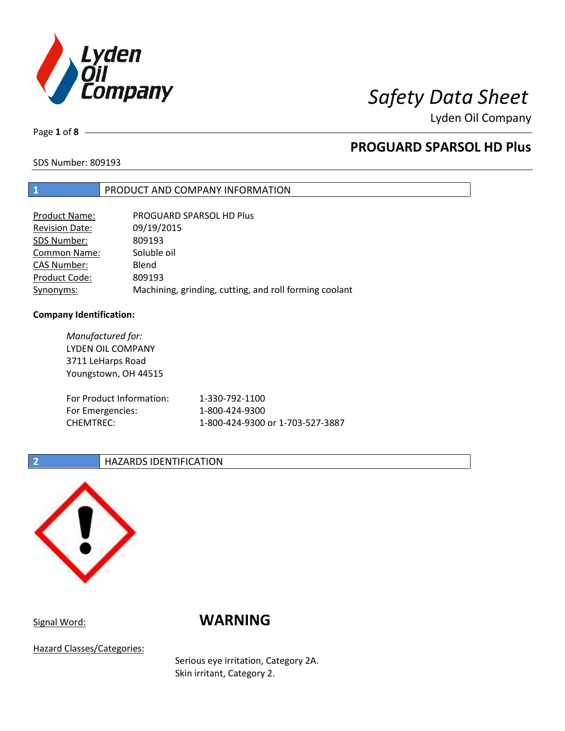

Lyden Oil Company

Page **1** of **8**

# **PROGUARD SPARSOL HD Plus**

SDS Number: 809193

### **1** PRODUCT AND COMPANY INFORMATION

| Product Name:         | PROGUARD SPARSOL HD Plus                               |
|-----------------------|--------------------------------------------------------|
| <b>Revision Date:</b> | 09/19/2015                                             |
| SDS Number:           | 809193                                                 |
| <b>Common Name:</b>   | Soluble oil                                            |
| <b>CAS Number:</b>    | Blend                                                  |
| Product Code:         | 809193                                                 |
| Synonyms:             | Machining, grinding, cutting, and roll forming coolant |

#### **Company Identification:**

| Manufactured for:        |                                  |
|--------------------------|----------------------------------|
| LYDEN OIL COMPANY        |                                  |
| 3711 LeHarps Road        |                                  |
| Youngstown, OH 44515     |                                  |
|                          |                                  |
| For Product Information: | 1-330-792-1100                   |
| For Emergencies:         | 1-800-424-9300                   |
| <b>CHEMTREC:</b>         | 1-800-424-9300 or 1-703-527-3887 |
|                          |                                  |

### **2 HAZARDS IDENTIFICATION**



# Signal Word: **WARNING**

Hazard Classes/Categories:

Serious eye irritation, Category 2A. Skin irritant, Category 2.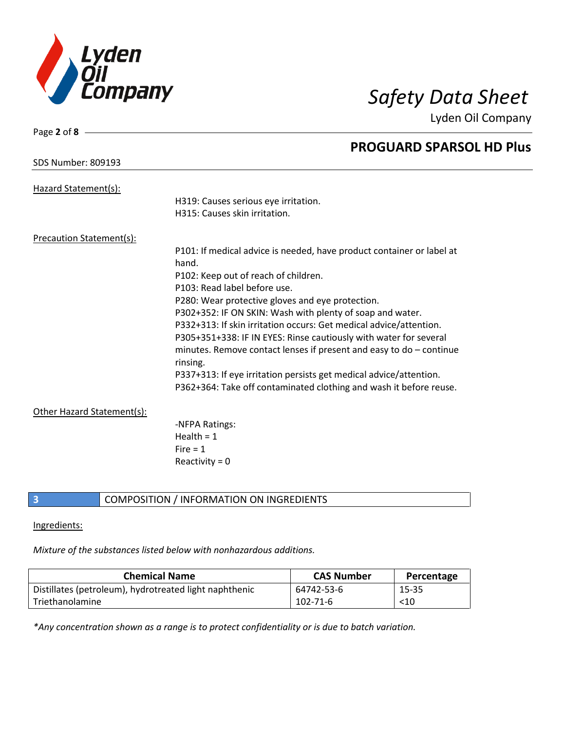

Lyden Oil Company

| Page 2 of 8                     |                                                                       |
|---------------------------------|-----------------------------------------------------------------------|
|                                 | <b>PROGUARD SPARSOL HD Plus</b>                                       |
| <b>SDS Number: 809193</b>       |                                                                       |
|                                 |                                                                       |
| Hazard Statement(s):            |                                                                       |
|                                 | H319: Causes serious eye irritation.                                  |
|                                 | H315: Causes skin irritation.                                         |
| <b>Precaution Statement(s):</b> |                                                                       |
|                                 | P101: If medical advice is needed, have product container or label at |
|                                 | hand.                                                                 |
|                                 | P102: Keep out of reach of children.                                  |
|                                 | P103: Read label before use.                                          |
|                                 | P280: Wear protective gloves and eye protection.                      |
|                                 | P302+352: IF ON SKIN: Wash with plenty of soap and water.             |
|                                 | P332+313: If skin irritation occurs: Get medical advice/attention.    |
|                                 | P305+351+338: IF IN EYES: Rinse cautiously with water for several     |
|                                 | minutes. Remove contact lenses if present and easy to $do$ – continue |
|                                 | rinsing.                                                              |
|                                 | P337+313: If eye irritation persists get medical advice/attention.    |
|                                 | P362+364: Take off contaminated clothing and wash it before reuse.    |
|                                 |                                                                       |
| Other Hazard Statement(s):      |                                                                       |
|                                 | -NFPA Ratings:                                                        |
|                                 | Health = $1$                                                          |
|                                 | Fire $= 1$                                                            |
|                                 | Reactivity = $0$                                                      |

**3** COMPOSITION / INFORMATION ON INGREDIENTS

### Ingredients:

*Mixture of the substances listed below with nonhazardous additions.*

| <b>Chemical Name</b>                                   | <b>CAS Number</b> | Percentage |
|--------------------------------------------------------|-------------------|------------|
| Distillates (petroleum), hydrotreated light naphthenic | 64742-53-6        | 15-35      |
| Triethanolamine                                        | $102 - 71 - 6$    | $<$ 10     |

*\*Any concentration shown as a range is to protect confidentiality or is due to batch variation.*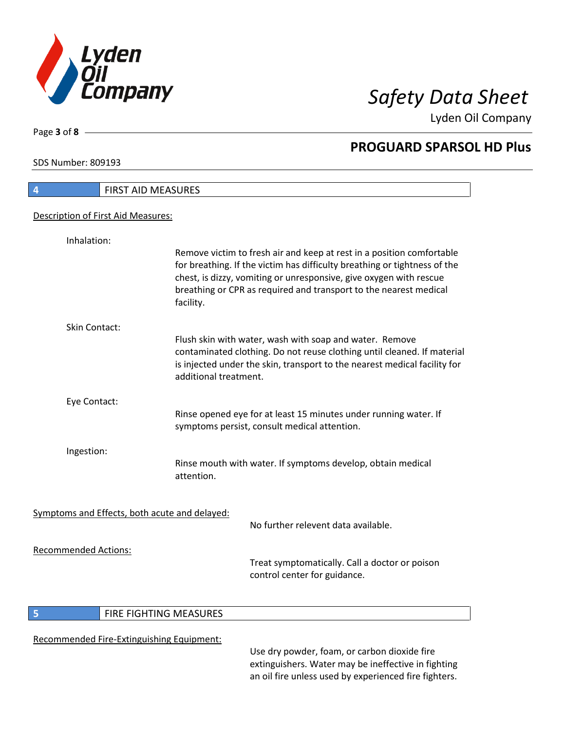

Lyden Oil Company

SDS Number: 809193

Page **3** of **8**

| 4                           | <b>FIRST AID MEASURES</b>                                                                                                                                                                                                                                                                                  |
|-----------------------------|------------------------------------------------------------------------------------------------------------------------------------------------------------------------------------------------------------------------------------------------------------------------------------------------------------|
|                             | Description of First Aid Measures:                                                                                                                                                                                                                                                                         |
| Inhalation:                 |                                                                                                                                                                                                                                                                                                            |
|                             | Remove victim to fresh air and keep at rest in a position comfortable<br>for breathing. If the victim has difficulty breathing or tightness of the<br>chest, is dizzy, vomiting or unresponsive, give oxygen with rescue<br>breathing or CPR as required and transport to the nearest medical<br>facility. |
| Skin Contact:               |                                                                                                                                                                                                                                                                                                            |
|                             | Flush skin with water, wash with soap and water. Remove<br>contaminated clothing. Do not reuse clothing until cleaned. If material<br>is injected under the skin, transport to the nearest medical facility for<br>additional treatment.                                                                   |
| Eye Contact:                |                                                                                                                                                                                                                                                                                                            |
|                             | Rinse opened eye for at least 15 minutes under running water. If<br>symptoms persist, consult medical attention.                                                                                                                                                                                           |
| Ingestion:                  |                                                                                                                                                                                                                                                                                                            |
|                             | Rinse mouth with water. If symptoms develop, obtain medical<br>attention.                                                                                                                                                                                                                                  |
|                             | Symptoms and Effects, both acute and delayed:                                                                                                                                                                                                                                                              |
|                             | No further relevent data available.                                                                                                                                                                                                                                                                        |
| <b>Recommended Actions:</b> | Treat symptomatically. Call a doctor or poison<br>control center for guidance.                                                                                                                                                                                                                             |

### **5 FIRE FIGHTING MEASURES**

### Recommended Fire-Extinguishing Equipment:

Use dry powder, foam, or carbon dioxide fire extinguishers. Water may be ineffective in fighting an oil fire unless used by experienced fire fighters.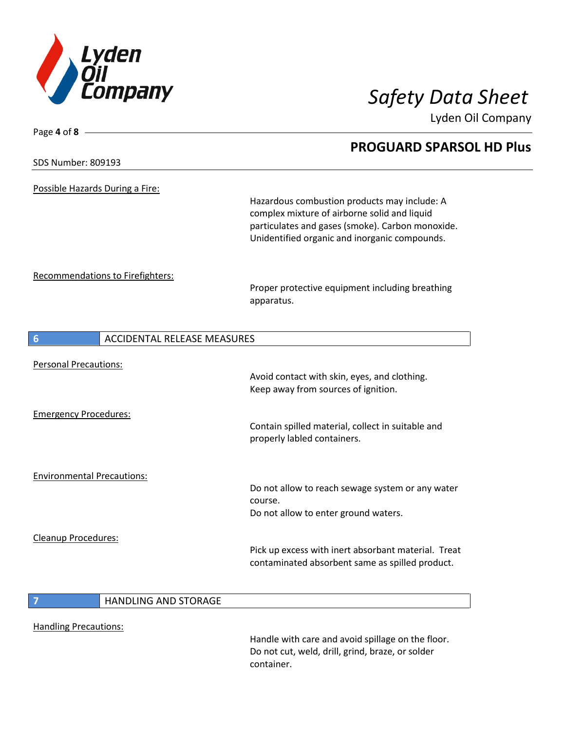

Page **4** of **8**

Lyden Oil Company

# **PROGUARD SPARSOL HD Plus** SDS Number: 809193 Possible Hazards During a Fire: Hazardous combustion products may include: A complex mixture of airborne solid and liquid particulates and gases (smoke). Carbon monoxide. Unidentified organic and inorganic compounds. Recommendations to Firefighters: Proper protective equipment including breathing apparatus. **6** ACCIDENTAL RELEASE MEASURES Personal Precautions: Avoid contact with skin, eyes, and clothing. Keep away from sources of ignition. Emergency Procedures: Contain spilled material, collect in suitable and properly labled containers. Environmental Precautions: Do not allow to reach sewage system or any water course. Do not allow to enter ground waters. Cleanup Procedures: Pick up excess with inert absorbant material. Treat contaminated absorbent same as spilled product. **7** HANDLING AND STORAGE

Handling Precautions:

Handle with care and avoid spillage on the floor. Do not cut, weld, drill, grind, braze, or solder container.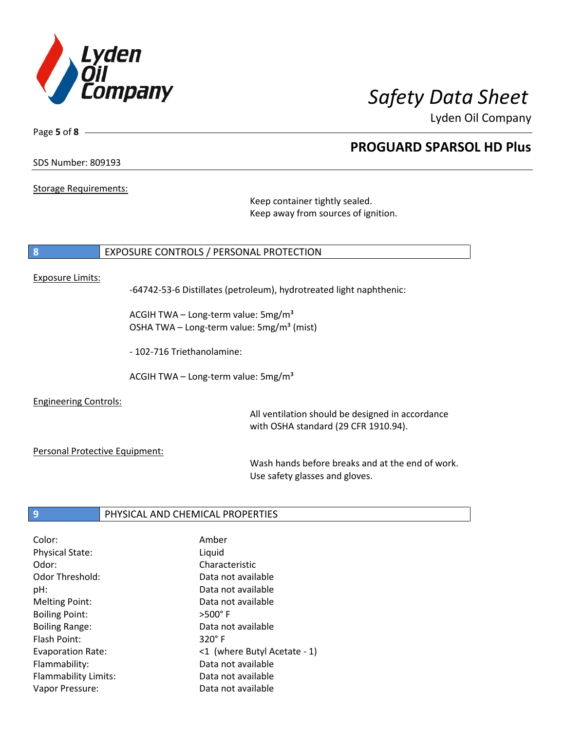

Lyden Oil Company

SDS Number: 809193

Page **5** of **8**

Storage Requirements:

Keep container tightly sealed. Keep away from sources of ignition.

### **8** EXPOSURE CONTROLS / PERSONAL PROTECTION

#### Exposure Limits:

-64742-53-6 Distillates (petroleum), hydrotreated light naphthenic:

ACGIH TWA – Long-term value:  $5mg/m<sup>3</sup>$ OSHA TWA – Long-term value:  $5mg/m<sup>3</sup>$  (mist)

- 102-716 Triethanolamine:

ACGIH TWA - Long-term value:  $5mg/m<sup>3</sup>$ 

Engineering Controls:

All ventilation should be designed in accordance with OSHA standard (29 CFR 1910.94).

Personal Protective Equipment:

Wash hands before breaks and at the end of work. Use safety glasses and gloves.

#### **9** PHYSICAL AND CHEMICAL PROPERTIES

| Color:                      | Amber                        |
|-----------------------------|------------------------------|
| <b>Physical State:</b>      | Liquid                       |
| Odor:                       | Characteristic               |
| <b>Odor Threshold:</b>      | Data not available           |
| pH:                         | Data not available           |
| <b>Melting Point:</b>       | Data not available           |
| <b>Boiling Point:</b>       | $>500^\circ$ F               |
| <b>Boiling Range:</b>       | Data not available           |
| Flash Point:                | $320^\circ$ F                |
| <b>Evaporation Rate:</b>    | <1 (where Butyl Acetate - 1) |
| Flammability:               | Data not available           |
| <b>Flammability Limits:</b> | Data not available           |
| Vapor Pressure:             | Data not available           |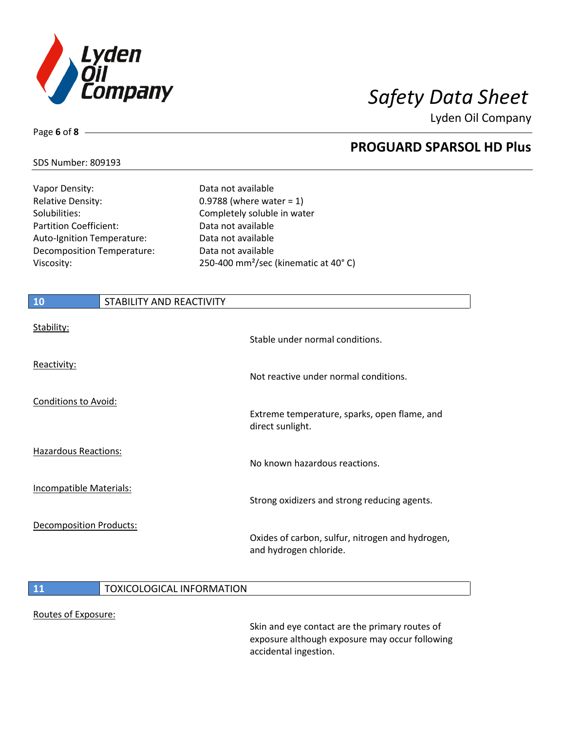

Lyden Oil Company

## SDS Number: 809193

Page **6** of **8**

Vapor Density: Case Contract Market Data not available Relative Density:  $0.9788$  (where water = 1) Solubilities: Completely soluble in water Partition Coefficient: Data not available Auto-Ignition Temperature: Data not available Decomposition Temperature: Data not available

Viscosity: 250-400 mm²/sec (kinematic at 40° C)

| <b>10</b>                      | STABILITY AND REACTIVITY |                                                                            |
|--------------------------------|--------------------------|----------------------------------------------------------------------------|
| Stability:                     |                          | Stable under normal conditions.                                            |
| Reactivity:                    |                          | Not reactive under normal conditions.                                      |
| <b>Conditions to Avoid:</b>    |                          | Extreme temperature, sparks, open flame, and<br>direct sunlight.           |
| <b>Hazardous Reactions:</b>    |                          | No known hazardous reactions.                                              |
| Incompatible Materials:        |                          | Strong oxidizers and strong reducing agents.                               |
| <b>Decomposition Products:</b> |                          | Oxides of carbon, sulfur, nitrogen and hydrogen,<br>and hydrogen chloride. |

### **11 TOXICOLOGICAL INFORMATION**

#### Routes of Exposure:

Skin and eye contact are the primary routes of exposure although exposure may occur following accidental ingestion.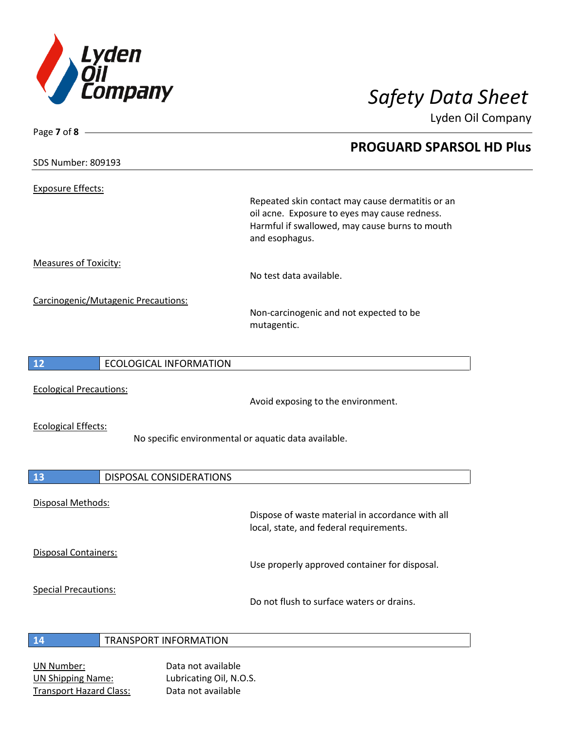

Lyden Oil Company

### SDS Number: 809193

Exposure Effects:

Page **7** of **8**

Repeated skin contact may cause dermatitis or an oil acne. Exposure to eyes may cause redness. Harmful if swallowed, may cause burns to mouth and esophagus.

Measures of Toxicity:

No test data available.

Carcinogenic/Mutagenic Precautions:

Non-carcinogenic and not expected to be mutagentic.

# **12** ECOLOGICAL INFORMATION

Ecological Precautions:

Avoid exposing to the environment.

Ecological Effects:

No specific environmental or aquatic data available.

| 13                          | <b>DISPOSAL CONSIDERATIONS</b> |                                                                                             |
|-----------------------------|--------------------------------|---------------------------------------------------------------------------------------------|
| Disposal Methods:           |                                | Dispose of waste material in accordance with all<br>local, state, and federal requirements. |
| Disposal Containers:        |                                | Use properly approved container for disposal.                                               |
| <b>Special Precautions:</b> |                                | Do not flush to surface waters or drains.                                                   |
| 14                          | <b>TRANSPORT INFORMATION</b>   |                                                                                             |

### UN Number: Data not available UN Shipping Name: Lubricating Oil, N.O.S. Transport Hazard Class: Data not available